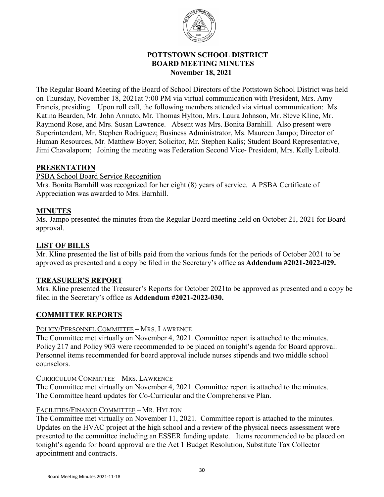

# **POTTSTOWN SCHOOL DISTRICT BOARD MEETING MINUTES November 18, 2021**

The Regular Board Meeting of the Board of School Directors of the Pottstown School District was held on Thursday, November 18, 2021at 7:00 PM via virtual communication with President, Mrs. Amy Francis, presiding. Upon roll call, the following members attended via virtual communication: Ms. Katina Bearden, Mr. John Armato, Mr. Thomas Hylton, Mrs. Laura Johnson, Mr. Steve Kline, Mr. Raymond Rose, and Mrs. Susan Lawrence. Absent was Mrs. Bonita Barnhill. Also present were Superintendent, Mr. Stephen Rodriguez; Business Administrator, Ms. Maureen Jampo; Director of Human Resources, Mr. Matthew Boyer; Solicitor, Mr. Stephen Kalis; Student Board Representative, Jimi Chavalaporn; Joining the meeting was Federation Second Vice- President, Mrs. Kelly Leibold.

### **PRESENTATION**

PSBA School Board Service Recognition

Mrs. Bonita Barnhill was recognized for her eight (8) years of service. A PSBA Certificate of Appreciation was awarded to Mrs. Barnhill.

### **MINUTES**

Ms. Jampo presented the minutes from the Regular Board meeting held on October 21, 2021 for Board approval.

# **LIST OF BILLS**

Mr. Kline presented the list of bills paid from the various funds for the periods of October 2021 to be approved as presented and a copy be filed in the Secretary's office as **Addendum #2021-2022-029.**

# **TREASURER'S REPORT**

Mrs. Kline presented the Treasurer's Reports for October 2021to be approved as presented and a copy be filed in the Secretary's office as **Addendum #2021-2022-030.**

# **COMMITTEE REPORTS**

#### POLICY/PERSONNEL COMMITTEE – MRS. LAWRENCE

The Committee met virtually on November 4, 2021. Committee report is attached to the minutes. Policy 217 and Policy 903 were recommended to be placed on tonight's agenda for Board approval. Personnel items recommended for board approval include nurses stipends and two middle school counselors.

#### CURRICULUM COMMITTEE – MRS. LAWRENCE

The Committee met virtually on November 4, 2021. Committee report is attached to the minutes. The Committee heard updates for Co-Curricular and the Comprehensive Plan.

#### FACILITIES/FINANCE COMMITTEE – MR. HYLTON

The Committee met virtually on November 11, 2021. Committee report is attached to the minutes. Updates on the HVAC project at the high school and a review of the physical needs assessment were presented to the committee including an ESSER funding update. Items recommended to be placed on tonight's agenda for board approval are the Act 1 Budget Resolution, Substitute Tax Collector appointment and contracts.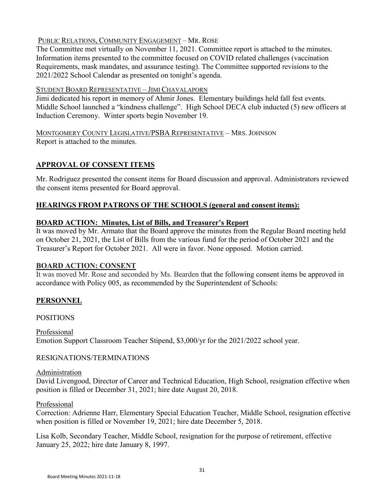# PUBLIC RELATIONS, COMMUNITY ENGAGEMENT – MR. ROSE

The Committee met virtually on November 11, 2021. Committee report is attached to the minutes. Information items presented to the committee focused on COVID related challenges (vaccination Requirements, mask mandates, and assurance testing). The Committee supported revisions to the 2021/2022 School Calendar as presented on tonight's agenda.

# STUDENT BOARD REPRESENTATIVE – JIMI CHAVALAPORN

Jimi dedicated his report in memory of Ahmir Jones. Elementary buildings held fall fest events. Middle School launched a "kindness challenge". High School DECA club inducted (5) new officers at Induction Ceremony. Winter sports begin November 19.

MONTGOMERY COUNTY LEGISLATIVE/PSBA REPRESENTATIVE – MRS. JOHNSON Report is attached to the minutes.

# **APPROVAL OF CONSENT ITEMS**

Mr. Rodriguez presented the consent items for Board discussion and approval. Administrators reviewed the consent items presented for Board approval.

# **HEARINGS FROM PATRONS OF THE SCHOOLS (general and consent items):**

# **BOARD ACTION: Minutes, List of Bills, and Treasurer's Report**

It was moved by Mr. Armato that the Board approve the minutes from the Regular Board meeting held on October 21, 2021, the List of Bills from the various fund for the period of October 2021 and the Treasurer's Report for October 2021. All were in favor. None opposed. Motion carried.

# **BOARD ACTION: CONSENT**

It was moved Mr. Rose and seconded by Ms. Bearden that the following consent items be approved in accordance with Policy 005, as recommended by the Superintendent of Schools:

# **PERSONNEL**

# POSITIONS

Professional Emotion Support Classroom Teacher Stipend, \$3,000/yr for the 2021/2022 school year.

# RESIGNATIONS/TERMINATIONS

#### Administration

David Livengood, Director of Career and Technical Education, High School, resignation effective when position is filled or December 31, 2021; hire date August 20, 2018.

#### Professional

Correction: Adrienne Harr, Elementary Special Education Teacher, Middle School, resignation effective when position is filled or November 19, 2021; hire date December 5, 2018.

Lisa Kolb, Secondary Teacher, Middle School, resignation for the purpose of retirement, effective January 25, 2022; hire date January 8, 1997.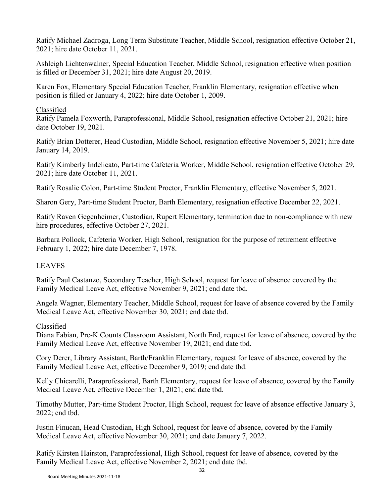Ratify Michael Zadroga, Long Term Substitute Teacher, Middle School, resignation effective October 21, 2021; hire date October 11, 2021.

Ashleigh Lichtenwalner, Special Education Teacher, Middle School, resignation effective when position is filled or December 31, 2021; hire date August 20, 2019.

Karen Fox, Elementary Special Education Teacher, Franklin Elementary, resignation effective when position is filled or January 4, 2022; hire date October 1, 2009.

# Classified

Ratify Pamela Foxworth, Paraprofessional, Middle School, resignation effective October 21, 2021; hire date October 19, 2021.

Ratify Brian Dotterer, Head Custodian, Middle School, resignation effective November 5, 2021; hire date January 14, 2019.

Ratify Kimberly Indelicato, Part-time Cafeteria Worker, Middle School, resignation effective October 29, 2021; hire date October 11, 2021.

Ratify Rosalie Colon, Part-time Student Proctor, Franklin Elementary, effective November 5, 2021.

Sharon Gery, Part-time Student Proctor, Barth Elementary, resignation effective December 22, 2021.

Ratify Raven Gegenheimer, Custodian, Rupert Elementary, termination due to non-compliance with new hire procedures, effective October 27, 2021.

Barbara Pollock, Cafeteria Worker, High School, resignation for the purpose of retirement effective February 1, 2022; hire date December 7, 1978.

# LEAVES

Ratify Paul Castanzo, Secondary Teacher, High School, request for leave of absence covered by the Family Medical Leave Act, effective November 9, 2021; end date tbd.

Angela Wagner, Elementary Teacher, Middle School, request for leave of absence covered by the Family Medical Leave Act, effective November 30, 2021; end date tbd.

# Classified

Diana Fabian, Pre-K Counts Classroom Assistant, North End, request for leave of absence, covered by the Family Medical Leave Act, effective November 19, 2021; end date tbd.

Cory Derer, Library Assistant, Barth/Franklin Elementary, request for leave of absence, covered by the Family Medical Leave Act, effective December 9, 2019; end date tbd.

Kelly Chicarelli, Paraprofessional, Barth Elementary, request for leave of absence, covered by the Family Medical Leave Act, effective December 1, 2021; end date tbd.

Timothy Mutter, Part-time Student Proctor, High School, request for leave of absence effective January 3, 2022; end tbd.

Justin Finucan, Head Custodian, High School, request for leave of absence, covered by the Family Medical Leave Act, effective November 30, 2021; end date January 7, 2022.

Ratify Kirsten Hairston, Paraprofessional, High School, request for leave of absence, covered by the Family Medical Leave Act, effective November 2, 2021; end date tbd.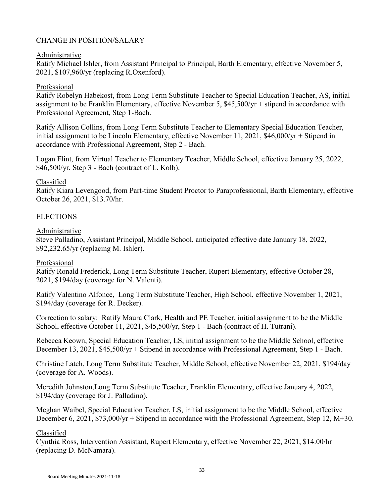### CHANGE IN POSITION/SALARY

#### Administrative

Ratify Michael Ishler, from Assistant Principal to Principal, Barth Elementary, effective November 5, 2021, \$107,960/yr (replacing R.Oxenford).

#### Professional

Ratify Robelyn Habekost, from Long Term Substitute Teacher to Special Education Teacher, AS, initial assignment to be Franklin Elementary, effective November 5, \$45,500/yr + stipend in accordance with Professional Agreement, Step 1-Bach.

Ratify Allison Collins, from Long Term Substitute Teacher to Elementary Special Education Teacher, initial assignment to be Lincoln Elementary, effective November 11, 2021, \$46,000/yr + Stipend in accordance with Professional Agreement, Step 2 - Bach.

Logan Flint, from Virtual Teacher to Elementary Teacher, Middle School, effective January 25, 2022, \$46,500/yr, Step 3 - Bach (contract of L. Kolb).

#### Classified

Ratify Kiara Levengood, from Part-time Student Proctor to Paraprofessional, Barth Elementary, effective October 26, 2021, \$13.70/hr.

#### **ELECTIONS**

#### Administrative

Steve Palladino, Assistant Principal, Middle School, anticipated effective date January 18, 2022, \$92,232.65/yr (replacing M. Ishler).

#### Professional

Ratify Ronald Frederick, Long Term Substitute Teacher, Rupert Elementary, effective October 28, 2021, \$194/day (coverage for N. Valenti).

Ratify Valentino Alfonce, Long Term Substitute Teacher, High School, effective November 1, 2021, \$194/day (coverage for R. Decker).

Correction to salary: Ratify Maura Clark, Health and PE Teacher, initial assignment to be the Middle School, effective October 11, 2021, \$45,500/yr, Step 1 - Bach (contract of H. Tutrani).

Rebecca Keown, Special Education Teacher, LS, initial assignment to be the Middle School, effective December 13, 2021, \$45,500/yr + Stipend in accordance with Professional Agreement, Step 1 - Bach.

Christine Latch, Long Term Substitute Teacher, Middle School, effective November 22, 2021, \$194/day (coverage for A. Woods).

Meredith Johnston,Long Term Substitute Teacher, Franklin Elementary, effective January 4, 2022, \$194/day (coverage for J. Palladino).

Meghan Waibel, Special Education Teacher, LS, initial assignment to be the Middle School, effective December 6, 2021, \$73,000/yr + Stipend in accordance with the Professional Agreement, Step 12, M+30.

#### Classified

Cynthia Ross, Intervention Assistant, Rupert Elementary, effective November 22, 2021, \$14.00/hr (replacing D. McNamara).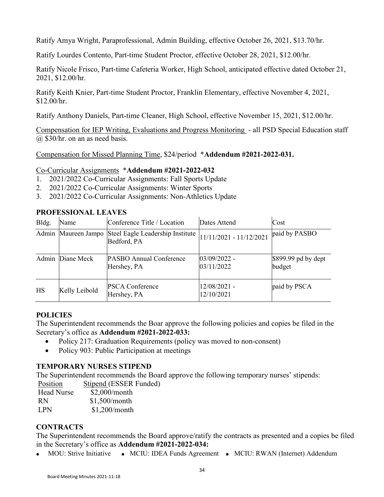Ratify Amya Wright, Paraprofessional, Admin Building, effective October 26, 2021, \$13.70/hr.

Ratify Lourdes Contento, Part-time Student Proctor, effective October 28, 2021, \$12.00/hr.

Ratify Nicole Frisco, Part-time Cafeteria Worker, High School, anticipated effective dated October 21, 2021, \$12.00/hr.

Ratify Keith Knier, Part-time Student Proctor, Franklin Elementary, effective November 4, 2021, \$12.00/hr.

Ratify Anthony Daniels, Part-time Cleaner, High School, effective November 15, 2021, \$12.00/hr.

Compensation for IEP Writing, Evaluations and Progress Monitoring - all PSD Special Education staff @ \$30/hr. on an as need basis.

Compensation for Missed Planning Time, \$24/period \***Addendum #2021-2022-031.**

### Co-Curricular Assignments \***Addendum #2021-2022-032**

- 1. 2021/2022 Co-Curricular Assignments: Fall Sports Update
- 2. 2021/2022 Co-Curricular Assignments: Winter Sports
- 3. 2021/2022 Co-Curricular Assignments: Non-Athletics Update

# **PROFESSIONAL LEAVES**

| Bldg. | Name             | Conference Title / Location                                                                  | Dates Attend                 | Cost                          |
|-------|------------------|----------------------------------------------------------------------------------------------|------------------------------|-------------------------------|
|       |                  | Admin Maureen Jampo Steel Eagle Leadership Institute  11/11/2021 - 11/12/2021<br>Bedford, PA |                              | paid by PASBO                 |
|       | Admin Diane Meck | <b>PASBO Annual Conference</b><br>Hershey, PA                                                | $03/09/2022 -$<br>03/11/2022 | \$899.99 pd by dept<br>budget |
| HS    | Kelly Leibold    | <b>PSCA Conference</b><br>Hershey, PA                                                        | 12/08/2021 -<br>12/10/2021   | paid by PSCA                  |

#### **POLICIES**

The Superintendent recommends the Boar approve the following policies and copies be filed in the Secretary's office as **Addendum #2021-2022-033:**

- Policy 217: Graduation Requirements (policy was moved to non-consent)
- Policy 903: Public Participation at meetings

# **TEMPORARY NURSES STIPEND**

The Superintendent recommends the Board approve the following temporary nurses' stipends:

Position Stipend (ESSER Funded) Head Nurse \$2,000/month RN \$1,500/month LPN \$1,200/month

### **CONTRACTS**

The Superintendent recommends the Board approve/ratify the contracts as presented and a copies be filed in the Secretary's office as **Addendum #2021-2022-034:**

• MOU: Strive Initiative • MCIU: IDEA Funds Agreement • MCIU: RWAN (Internet) Addendum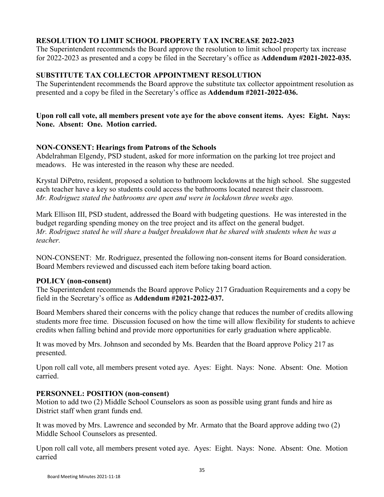# **RESOLUTION TO LIMIT SCHOOL PROPERTY TAX INCREASE 2022-2023**

The Superintendent recommends the Board approve the resolution to limit school property tax increase for 2022-2023 as presented and a copy be filed in the Secretary's office as **Addendum #2021-2022-035.**

### **SUBSTITUTE TAX COLLECTOR APPOINTMENT RESOLUTION**

The Superintendent recommends the Board approve the substitute tax collector appointment resolution as presented and a copy be filed in the Secretary's office as **Addendum #2021-2022-036.**

### **Upon roll call vote, all members present vote aye for the above consent items. Ayes: Eight. Nays: None. Absent: One. Motion carried.**

### **NON-CONSENT: Hearings from Patrons of the Schools**

Abdelrahman Elgendy, PSD student, asked for more information on the parking lot tree project and meadows. He was interested in the reason why these are needed.

Krystal DiPetro, resident, proposed a solution to bathroom lockdowns at the high school. She suggested each teacher have a key so students could access the bathrooms located nearest their classroom. *Mr. Rodriguez stated the bathrooms are open and were in lockdown three weeks ago.* 

Mark Ellison III, PSD student, addressed the Board with budgeting questions. He was interested in the budget regarding spending money on the tree project and its affect on the general budget. *Mr. Rodriguez stated he will share a budget breakdown that he shared with students when he was a teacher.* 

NON-CONSENT: Mr. Rodriguez, presented the following non-consent items for Board consideration. Board Members reviewed and discussed each item before taking board action.

#### **POLICY (non-consent)**

The Superintendent recommends the Board approve Policy 217 Graduation Requirements and a copy be field in the Secretary's office as **Addendum #2021-2022-037.**

Board Members shared their concerns with the policy change that reduces the number of credits allowing students more free time. Discussion focused on how the time will allow flexibility for students to achieve credits when falling behind and provide more opportunities for early graduation where applicable.

It was moved by Mrs. Johnson and seconded by Ms. Bearden that the Board approve Policy 217 as presented.

Upon roll call vote, all members present voted aye. Ayes: Eight. Nays: None. Absent: One. Motion carried.

#### **PERSONNEL: POSITION (non-consent)**

Motion to add two (2) Middle School Counselors as soon as possible using grant funds and hire as District staff when grant funds end.

It was moved by Mrs. Lawrence and seconded by Mr. Armato that the Board approve adding two (2) Middle School Counselors as presented.

Upon roll call vote, all members present voted aye. Ayes: Eight. Nays: None. Absent: One. Motion carried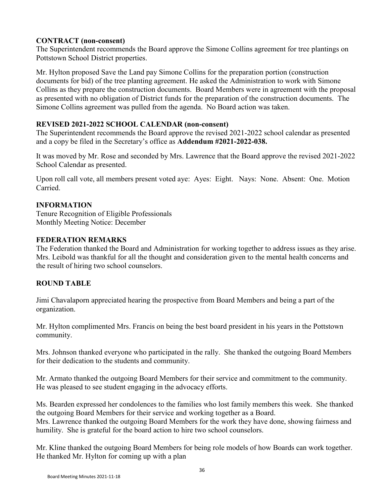## **CONTRACT (non-consent)**

The Superintendent recommends the Board approve the Simone Collins agreement for tree plantings on Pottstown School District properties.

Mr. Hylton proposed Save the Land pay Simone Collins for the preparation portion (construction documents for bid) of the tree planting agreement. He asked the Administration to work with Simone Collins as they prepare the construction documents. Board Members were in agreement with the proposal as presented with no obligation of District funds for the preparation of the construction documents. The Simone Collins agreement was pulled from the agenda. No Board action was taken.

### **REVISED 2021-2022 SCHOOL CALENDAR (non-consent)**

The Superintendent recommends the Board approve the revised 2021-2022 school calendar as presented and a copy be filed in the Secretary's office as **Addendum #2021-2022-038.**

It was moved by Mr. Rose and seconded by Mrs. Lawrence that the Board approve the revised 2021-2022 School Calendar as presented.

Upon roll call vote, all members present voted aye: Ayes: Eight. Nays: None. Absent: One. Motion Carried.

# **INFORMATION**

Tenure Recognition of Eligible Professionals Monthly Meeting Notice: December

### **FEDERATION REMARKS**

The Federation thanked the Board and Administration for working together to address issues as they arise. Mrs. Leibold was thankful for all the thought and consideration given to the mental health concerns and the result of hiring two school counselors.

# **ROUND TABLE**

Jimi Chavalaporn appreciated hearing the prospective from Board Members and being a part of the organization.

Mr. Hylton complimented Mrs. Francis on being the best board president in his years in the Pottstown community.

Mrs. Johnson thanked everyone who participated in the rally. She thanked the outgoing Board Members for their dedication to the students and community.

Mr. Armato thanked the outgoing Board Members for their service and commitment to the community. He was pleased to see student engaging in the advocacy efforts.

Ms. Bearden expressed her condolences to the families who lost family members this week. She thanked the outgoing Board Members for their service and working together as a Board. Mrs. Lawrence thanked the outgoing Board Members for the work they have done, showing fairness and humility. She is grateful for the board action to hire two school counselors.

Mr. Kline thanked the outgoing Board Members for being role models of how Boards can work together. He thanked Mr. Hylton for coming up with a plan